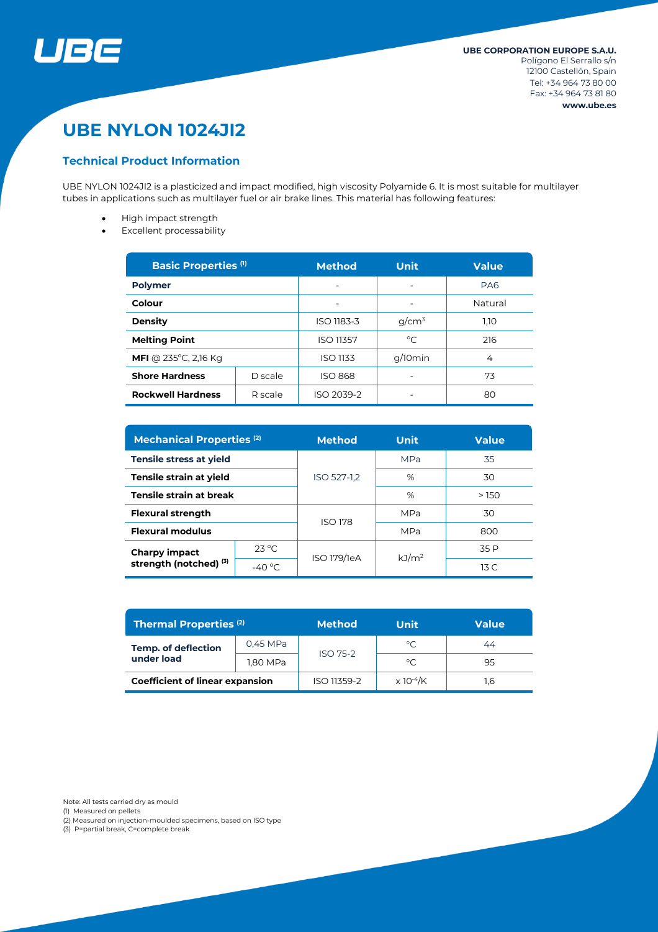

# **UBE NYLON 1024JI2**

### **Technical Product Information**

UBE NYLON 1024JI2 is a plasticized and impact modified, high viscosity Polyamide 6. It is most suitable for multilayer tubes in applications such as multilayer fuel or air brake lines. This material has following features:

- High impact strength
- Excellent processability

| <b>Basic Properties (1)</b>            |         | <b>Method</b>    | <b>Unit</b>  | <b>Value</b>    |
|----------------------------------------|---------|------------------|--------------|-----------------|
| <b>Polymer</b>                         |         |                  | ۰            | PA <sub>6</sub> |
| Colour                                 |         |                  |              | Natural         |
| <b>Density</b>                         |         | ISO 1183-3       | $q/cm^3$     | 1,10            |
| <b>Melting Point</b>                   |         | <b>ISO 11357</b> | $^{\circ}$ C | 216             |
| <b>MFI</b> @ 235 $^{\circ}$ C, 2,16 Kg |         | <b>ISO 1133</b>  | g/10min      | 4               |
| <b>Shore Hardness</b>                  | D scale | <b>ISO 868</b>   |              | 73              |
| <b>Rockwell Hardness</b><br>R scale    |         | ISO 2039-2       |              | 80              |

| <b>Mechanical Properties (2)</b>                   |                 | <b>Method</b>  | <b>Unit</b>       | <b>Value</b>    |  |
|----------------------------------------------------|-----------------|----------------|-------------------|-----------------|--|
| Tensile stress at yield                            |                 |                | <b>MPa</b>        | 35              |  |
| Tensile strain at yield                            |                 | ISO 527-1,2    | %                 | 30              |  |
| <b>Tensile strain at break</b>                     |                 |                | %                 | >150            |  |
| <b>Flexural strength</b>                           |                 | <b>ISO 178</b> | <b>MPa</b>        | 30              |  |
| <b>Flexural modulus</b>                            |                 |                | <b>MPa</b>        | 800             |  |
| Charpy impact<br>strength (notched) <sup>(3)</sup> | $23^{\circ}$ C  | ISO 179/1eA    | kJ/m <sup>2</sup> | 35 P            |  |
|                                                    | $-40^{\circ}$ C |                |                   | 13 <sub>C</sub> |  |

| <b>Thermal Properties (2)</b>            |          | <b>Method</b>   | Unit                         | Value |  |
|------------------------------------------|----------|-----------------|------------------------------|-------|--|
| <b>Temp. of deflection</b><br>under load | 0,45 MPa | <b>ISO 75-2</b> | $^{\circ}$ C                 | 44    |  |
|                                          | 1,80 MPa |                 | °C                           | 95    |  |
| <b>Coefficient of linear expansion</b>   |          | ISO 11359-2     | $\times$ 10 <sup>-4</sup> /K | .6    |  |

Note: All tests carried dry as mould

(1) Measured on pellets

(2) Measured on injection-moulded specimens, based on ISO type

(3) P=partial break, C=complete break